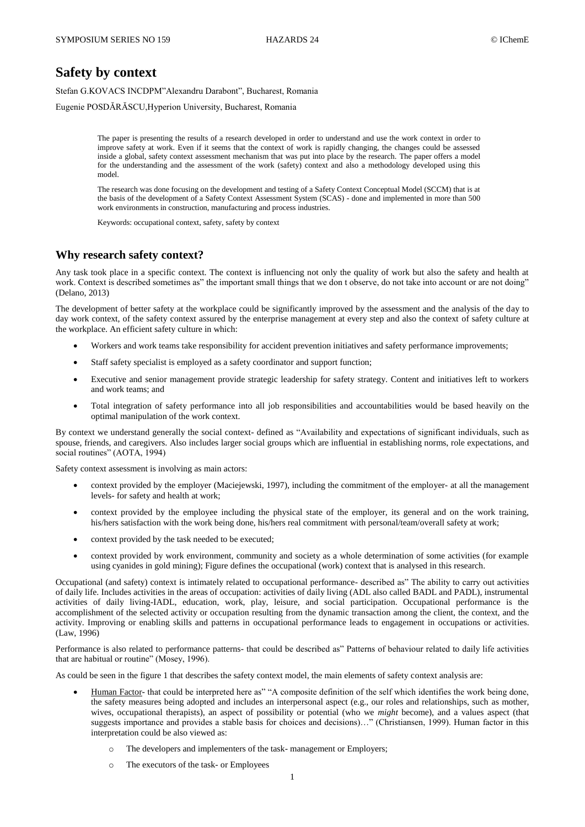# **Safety by context**

Stefan G.KOVACS INCDPM"Alexandru Darabont", Bucharest, Romania

Eugenie POSDĂRĂSCU,Hyperion University, Bucharest, Romania

The paper is presenting the results of a research developed in order to understand and use the work context in order to improve safety at work. Even if it seems that the context of work is rapidly changing, the changes could be assessed inside a global, safety context assessment mechanism that was put into place by the research. The paper offers a model for the understanding and the assessment of the work (safety) context and also a methodology developed using this model.

The research was done focusing on the development and testing of a Safety Context Conceptual Model (SCCM) that is at the basis of the development of a Safety Context Assessment System (SCAS) - done and implemented in more than 500 work environments in construction, manufacturing and process industries.

Keywords: occupational context, safety, safety by context

### **Why research safety context?**

Any task took place in a specific context. The context is influencing not only the quality of work but also the safety and health at work. Context is described sometimes as" the important small things that we don t observe, do not take into account or are not doing" (Delano, 2013)

The development of better safety at the workplace could be significantly improved by the assessment and the analysis of the day to day work context, of the safety context assured by the enterprise management at every step and also the context of safety culture at the workplace. An efficient safety culture in which:

- Workers and work teams take responsibility for accident prevention initiatives and safety performance improvements;
- Staff safety specialist is employed as a safety coordinator and support function;
- Executive and senior management provide strategic leadership for safety strategy. Content and initiatives left to workers and work teams; and
- Total integration of safety performance into all job responsibilities and accountabilities would be based heavily on the optimal manipulation of the work context.

By context we understand generally the social context- defined as "Availability and expectations of significant individuals, such as spouse, friends, and caregivers. Also includes larger social groups which are influential in establishing norms, role expectations, and social routines" (AOTA, 1994)

Safety context assessment is involving as main actors:

- context provided by the employer (Maciejewski, 1997), including the commitment of the employer- at all the management levels- for safety and health at work;
- context provided by the employee including the physical state of the employer, its general and on the work training, his/hers satisfaction with the work being done, his/hers real commitment with personal/team/overall safety at work;
- context provided by the task needed to be executed;
- context provided by work environment, community and society as a whole determination of some activities (for example using cyanides in gold mining); Figure defines the occupational (work) context that is analysed in this research.

Occupational (and safety) context is intimately related to occupational performance- described as" The ability to carry out activities of daily life. Includes activities in the areas of occupation: activities of daily living (ADL also called BADL and PADL), instrumental activities of daily living-IADL, education, work, play, leisure, and social participation. Occupational performance is the accomplishment of the selected activity or occupation resulting from the dynamic transaction among the client, the context, and the activity. Improving or enabling skills and patterns in occupational performance leads to engagement in occupations or activities. (Law, 1996)

Performance is also related to performance patterns- that could be described as" Patterns of behaviour related to daily life activities that are habitual or routine" (Mosey, 1996).

As could be seen in the figure 1 that describes the safety context model, the main elements of safety context analysis are:

- Human Factor- that could be interpreted here as" "A composite definition of the self which identifies the work being done, the safety measures being adopted and includes an interpersonal aspect (e.g., our roles and relationships, such as mother, wives, occupational therapists), an aspect of possibility or potential (who we *might* become), and a values aspect (that suggests importance and provides a stable basis for choices and decisions)…" (Christiansen, 1999). Human factor in this interpretation could be also viewed as:
	- The developers and implementers of the task- management or Employers;
	- o The executors of the task- or Employees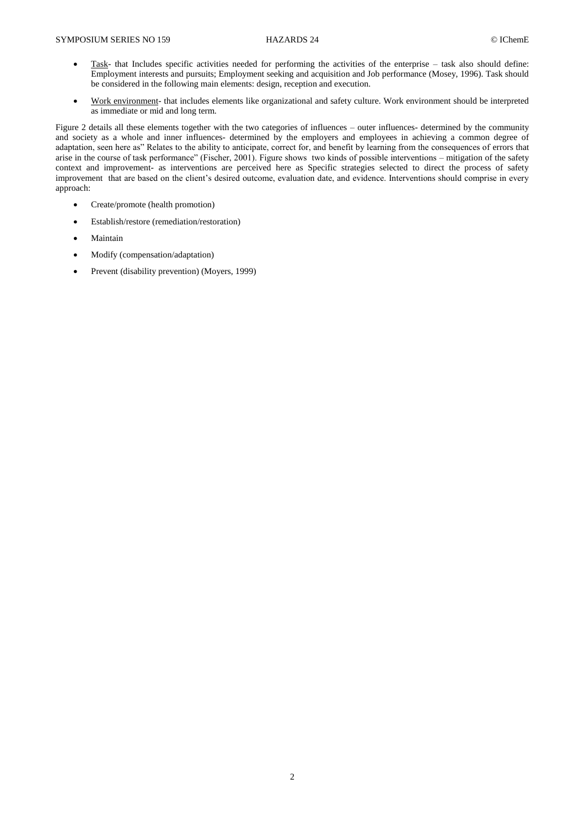- Task- that Includes specific activities needed for performing the activities of the enterprise task also should define: Employment interests and pursuits; Employment seeking and acquisition and Job performance (Mosey, 1996). Task should be considered in the following main elements: design, reception and execution.
- Work environment- that includes elements like organizational and safety culture. Work environment should be interpreted as immediate or mid and long term.

Figure 2 details all these elements together with the two categories of influences – outer influences- determined by the community and society as a whole and inner influences- determined by the employers and employees in achieving a common degree of adaptation, seen here as" Relates to the ability to anticipate, correct for, and benefit by learning from the consequences of errors that arise in the course of task performance" (Fischer, 2001). Figure shows two kinds of possible interventions – mitigation of the safety context and improvement- as interventions are perceived here as Specific strategies selected to direct the process of safety improvement that are based on the client's desired outcome, evaluation date, and evidence. Interventions should comprise in every approach:

- Create/promote (health promotion)
- Establish/restore (remediation/restoration)
- Maintain
- Modify (compensation/adaptation)
- Prevent (disability prevention) (Moyers, 1999)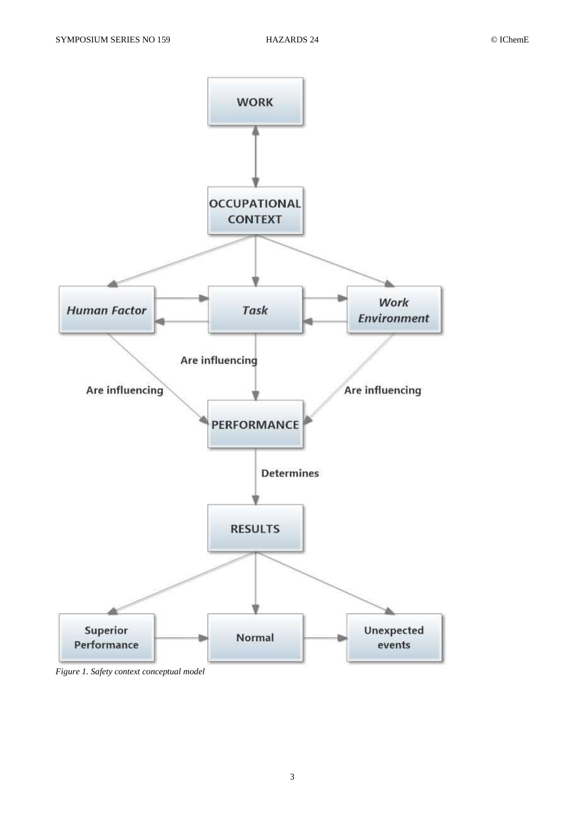

*Figure 1. Safety context conceptual model*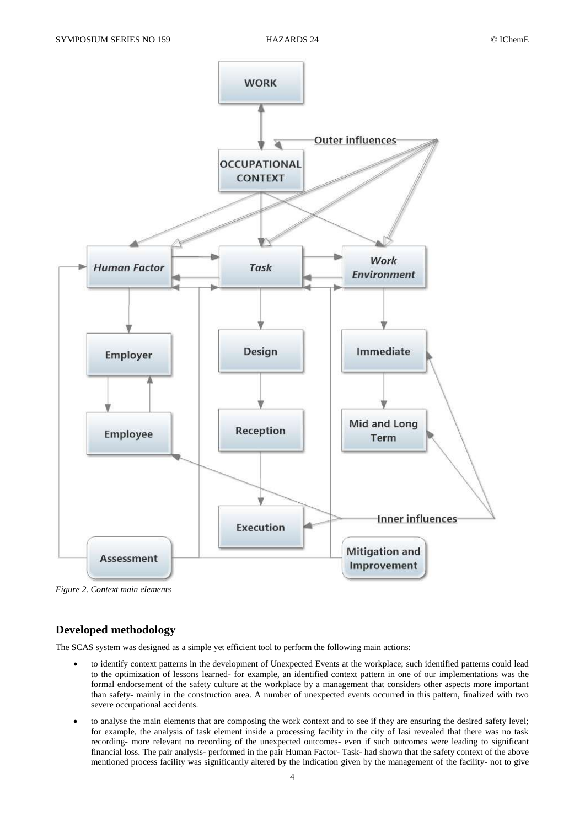

*Figure 2. Context main elements*

## **Developed methodology**

The SCAS system was designed as a simple yet efficient tool to perform the following main actions:

- to identify context patterns in the development of Unexpected Events at the workplace; such identified patterns could lead to the optimization of lessons learned- for example, an identified context pattern in one of our implementations was the formal endorsement of the safety culture at the workplace by a management that considers other aspects more important than safety- mainly in the construction area. A number of unexpected events occurred in this pattern, finalized with two severe occupational accidents.
- to analyse the main elements that are composing the work context and to see if they are ensuring the desired safety level; for example, the analysis of task element inside a processing facility in the city of Iasi revealed that there was no task recording- more relevant no recording of the unexpected outcomes- even if such outcomes were leading to significant financial loss. The pair analysis- performed in the pair Human Factor- Task- had shown that the safety context of the above mentioned process facility was significantly altered by the indication given by the management of the facility- not to give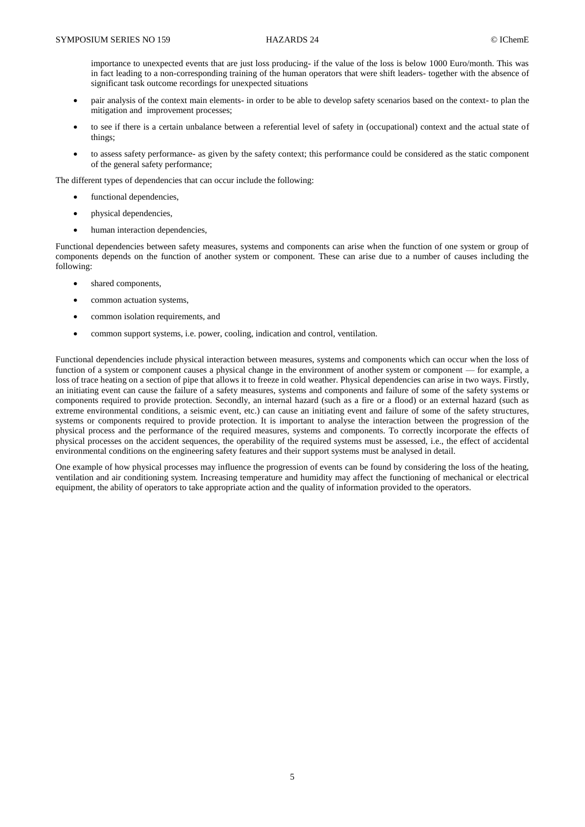importance to unexpected events that are just loss producing- if the value of the loss is below 1000 Euro/month. This was in fact leading to a non-corresponding training of the human operators that were shift leaders- together with the absence of significant task outcome recordings for unexpected situations

- pair analysis of the context main elements- in order to be able to develop safety scenarios based on the context- to plan the mitigation and improvement processes;
- to see if there is a certain unbalance between a referential level of safety in (occupational) context and the actual state of things;
- to assess safety performance- as given by the safety context; this performance could be considered as the static component of the general safety performance;

The different types of dependencies that can occur include the following:

- functional dependencies,
- physical dependencies,
- human interaction dependencies,

Functional dependencies between safety measures, systems and components can arise when the function of one system or group of components depends on the function of another system or component. These can arise due to a number of causes including the following:

- shared components,
- common actuation systems,
- common isolation requirements, and
- common support systems, i.e. power, cooling, indication and control, ventilation.

Functional dependencies include physical interaction between measures, systems and components which can occur when the loss of function of a system or component causes a physical change in the environment of another system or component — for example, a loss of trace heating on a section of pipe that allows it to freeze in cold weather. Physical dependencies can arise in two ways. Firstly, an initiating event can cause the failure of a safety measures, systems and components and failure of some of the safety systems or components required to provide protection. Secondly, an internal hazard (such as a fire or a flood) or an external hazard (such as extreme environmental conditions, a seismic event, etc.) can cause an initiating event and failure of some of the safety structures, systems or components required to provide protection. It is important to analyse the interaction between the progression of the physical process and the performance of the required measures, systems and components. To correctly incorporate the effects of physical processes on the accident sequences, the operability of the required systems must be assessed, i.e., the effect of accidental environmental conditions on the engineering safety features and their support systems must be analysed in detail.

One example of how physical processes may influence the progression of events can be found by considering the loss of the heating, ventilation and air conditioning system. Increasing temperature and humidity may affect the functioning of mechanical or electrical equipment, the ability of operators to take appropriate action and the quality of information provided to the operators.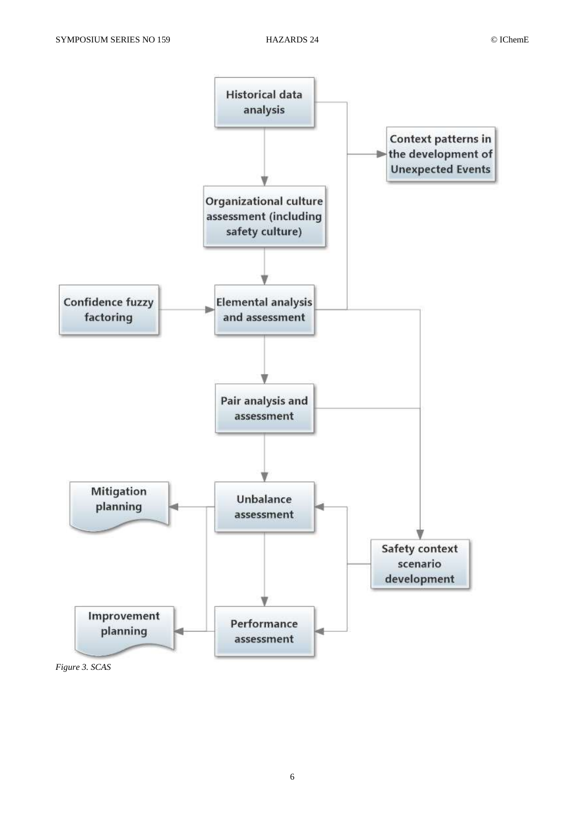

*Figure 3. SCAS*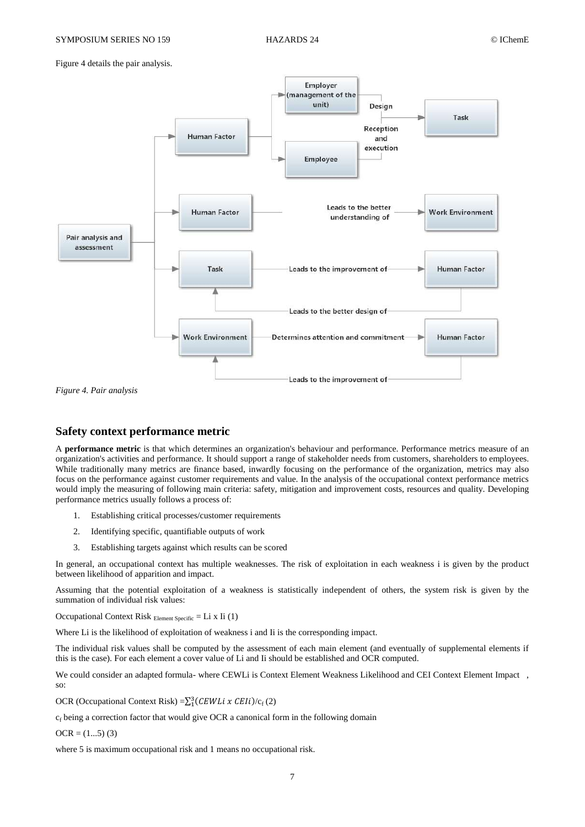Figure 4 details the pair analysis.



*Figure 4. Pair analysis*

#### **Safety context performance metric**

A **performance metric** is that which determines an organization's behaviour and performance. Performance metrics measure of an organization's activities and performance. It should support a range of stakeholder needs from customers, shareholders to employees. While traditionally many metrics are finance based, inwardly focusing on the performance of the organization, metrics may also focus on the performance against customer requirements and value. In the analysis of the occupational context performance metrics would imply the measuring of following main criteria: safety, mitigation and improvement costs, resources and quality. Developing performance metrics usually follows a process of:

- 1. Establishing critical processes/customer requirements
- 2. Identifying specific, quantifiable outputs of work
- 3. Establishing targets against which results can be scored

In general, an occupational context has multiple weaknesses. The risk of exploitation in each weakness i is given by the product between likelihood of apparition and impact.

Assuming that the potential exploitation of a weakness is statistically independent of others, the system risk is given by the summation of individual risk values:

Occupational Context Risk  $E$ <sub>Element Specific</sub> = Li x Ii (1)</sub>

Where Li is the likelihood of exploitation of weakness i and Ii is the corresponding impact.

The individual risk values shall be computed by the assessment of each main element (and eventually of supplemental elements if this is the case). For each element a cover value of Li and Ii should be established and OCR computed.

We could consider an adapted formula- where CEWLi is Context Element Weakness Likelihood and CEI Context Element Impact , so:

OCR (Occupational Context Risk) =  $\sum_{1}^{3} (CEWLi \times CEIi)/c_f(2)$ 

 $c_f$  being a correction factor that would give OCR a canonical form in the following domain

 $OCR = (1...5)$  (3)

where 5 is maximum occupational risk and 1 means no occupational risk.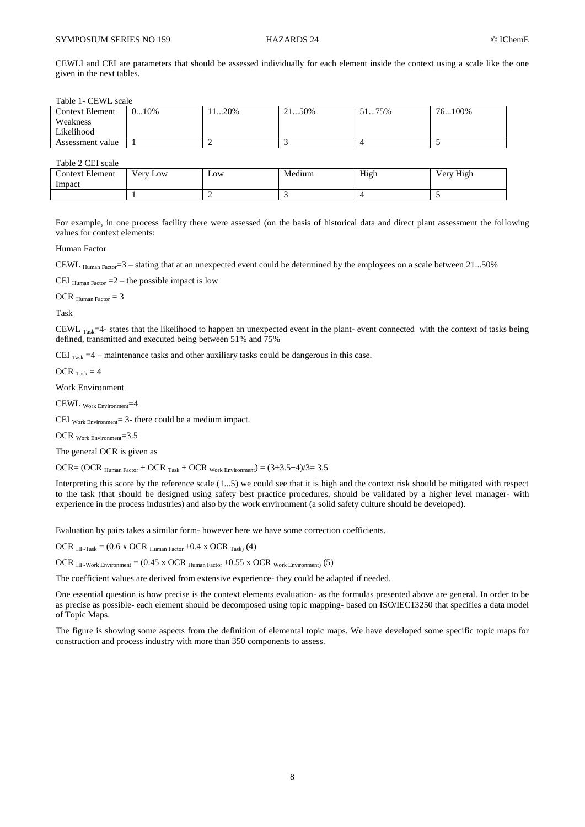CEWLI and CEI are parameters that should be assessed individually for each element inside the context using a scale like the one given in the next tables.

Table 1- CEWL scale

| <b>Context Element</b> | $010\%$ | 120% | 2150% | 5175% | 76…100% |
|------------------------|---------|------|-------|-------|---------|
| Weakness               |         |      |       |       |         |
| Likelihood             |         |      |       |       |         |
| Assessment value       |         |      |       |       |         |

Table 2 CEI scale

| <b>Context Element</b><br>Impact | $Verv_1$<br>Low | Low | Medium | High | Very High |
|----------------------------------|-----------------|-----|--------|------|-----------|
|                                  |                 |     |        |      |           |

For example, in one process facility there were assessed (on the basis of historical data and direct plant assessment the following values for context elements:

Human Factor

CEWL  $_{\text{Human Factor}} = 3 - \text{ stating that at an unexpected event could be determined by the employees on a scale between 21...50%}$ 

CEI  $_{\text{Human Factor}} = 2 -$  the possible impact is low

OCR  $_{\text{Human Factor}} = 3$ 

Task

CEWL  $_{\text{Task}}=4$ - states that the likelihood to happen an unexpected event in the plant- event connected with the context of tasks being defined, transmitted and executed being between 51% and 75%

CEI  $_{\text{Task}} = 4$  – maintenance tasks and other auxiliary tasks could be dangerous in this case.

OCR  $_{Task} = 4$ 

Work Environment

CEWL Work Environment=4

CEI  $_{\text{Work Environment}}$  = 3- there could be a medium impact.

OCR Work Environment=3.5

The general OCR is given as

OCR= (OCR  $_{\text{Human Factor}} +$  OCR  $_{\text{Task}} +$  OCR  $_{\text{Work Environment}}$ ) = (3+3.5+4)/3= 3.5

Interpreting this score by the reference scale (1...5) we could see that it is high and the context risk should be mitigated with respect to the task (that should be designed using safety best practice procedures, should be validated by a higher level manager- with experience in the process industries) and also by the work environment (a solid safety culture should be developed).

Evaluation by pairs takes a similar form- however here we have some correction coefficients.

OCR  $_{HF-Task} = (0.6 \times OCR)$  Human Factor +0.4 x OCR  $_{Task}$  (4)

OCR  $_{\text{HF-Work Environment}} = (0.45 \text{ x } OCR \text{ Human Factor} + 0.55 \text{ x } OCR \text{ Work Environment})$  (5)

The coefficient values are derived from extensive experience- they could be adapted if needed.

One essential question is how precise is the context elements evaluation- as the formulas presented above are general. In order to be as precise as possible- each element should be decomposed using topic mapping- based on ISO/IEC13250 that specifies a data model of Topic Maps.

The figure is showing some aspects from the definition of elemental topic maps. We have developed some specific topic maps for construction and process industry with more than 350 components to assess.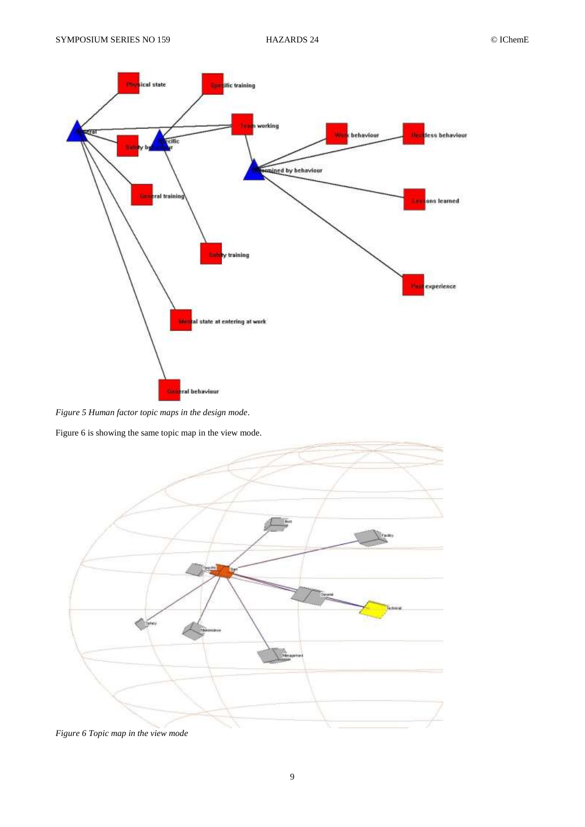

*Figure 5 Human factor topic maps in the design mode*.

Figure 6 is showing the same topic map in the view mode.



*Figure 6 Topic map in the view mode*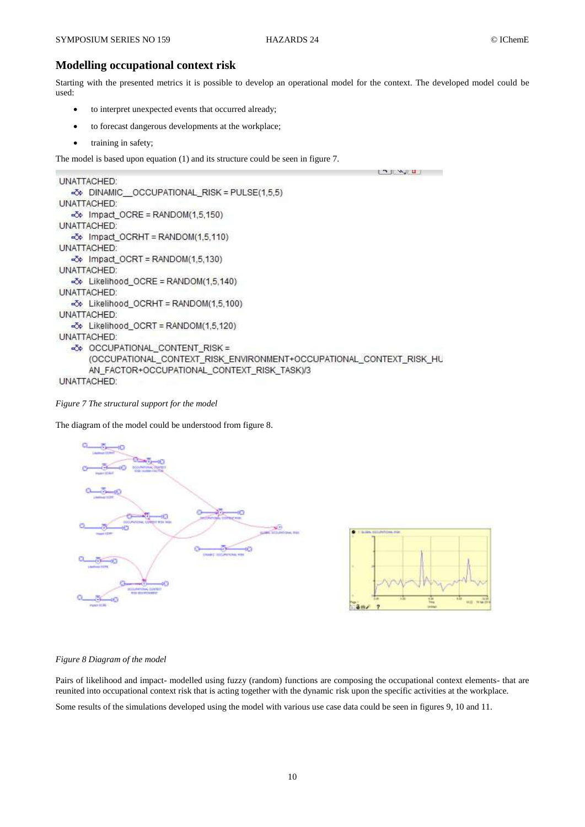#### **Modelling occupational context risk**

Starting with the presented metrics it is possible to develop an operational model for the context. The developed model could be used:

- to interpret unexpected events that occurred already;
- to forecast dangerous developments at the workplace;
- training in safety;

The model is based upon equation (1) and its structure could be seen in figure 7.

```
\mathbf{u}UNATTACHED:
  «Č» DINAMIC OCCUPATIONAL RISK = PULSE(1,5,5)
UNATTACHED:
  \overline{\sim} Impact_OCRE = RANDOM(1,5,150)
UNATTACHED:
  -3> Impact_OCRHT = RANDOM(1,5,110)
UNATTACHED:
  \Rightarrow Impact_OCRT = RANDOM(1,5,130)
UNATTACHED:
  -3 Likelihood_OCRE = RANDOM(1,5,140)
UNATTACHED:
  -3> Likelihood_OCRHT = RANDOM(1,5,100)
UNATTACHED:
  -36 Likelihood_OCRT = RANDOM(1,5,120)
UNATTACHED:
  -36 OCCUPATIONAL_CONTENT_RISK =
      (OCCUPATIONAL_CONTEXT_RISK_ENVIRONMENT+OCCUPATIONAL_CONTEXT_RISK_HU
      AN_FACTOR+OCCUPATIONAL_CONTEXT_RISK_TASK)/3
UNATTACHED:
```
*Figure 7 The structural support for the model*

The diagram of the model could be understood from figure 8.





#### *Figure 8 Diagram of the model*

Pairs of likelihood and impact- modelled using fuzzy (random) functions are composing the occupational context elements- that are reunited into occupational context risk that is acting together with the dynamic risk upon the specific activities at the workplace. Some results of the simulations developed using the model with various use case data could be seen in figures 9, 10 and 11.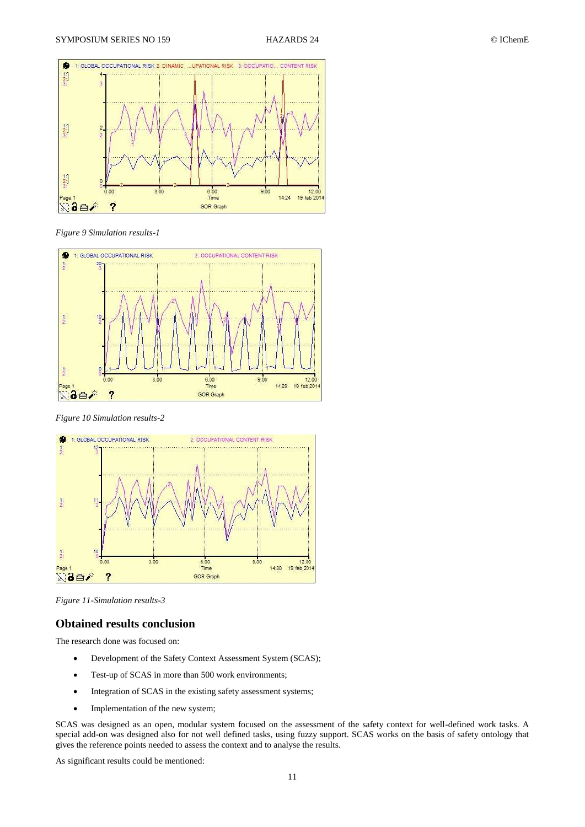

*Figure 9 Simulation results-1*



*Figure 10 Simulation results-2*



*Figure 11-Simulation results-3*

### **Obtained results conclusion**

The research done was focused on:

- Development of the Safety Context Assessment System (SCAS);
- Test-up of SCAS in more than 500 work environments;
- Integration of SCAS in the existing safety assessment systems;
- Implementation of the new system;

SCAS was designed as an open, modular system focused on the assessment of the safety context for well-defined work tasks. A special add-on was designed also for not well defined tasks, using fuzzy support. SCAS works on the basis of safety ontology that gives the reference points needed to assess the context and to analyse the results.

As significant results could be mentioned: